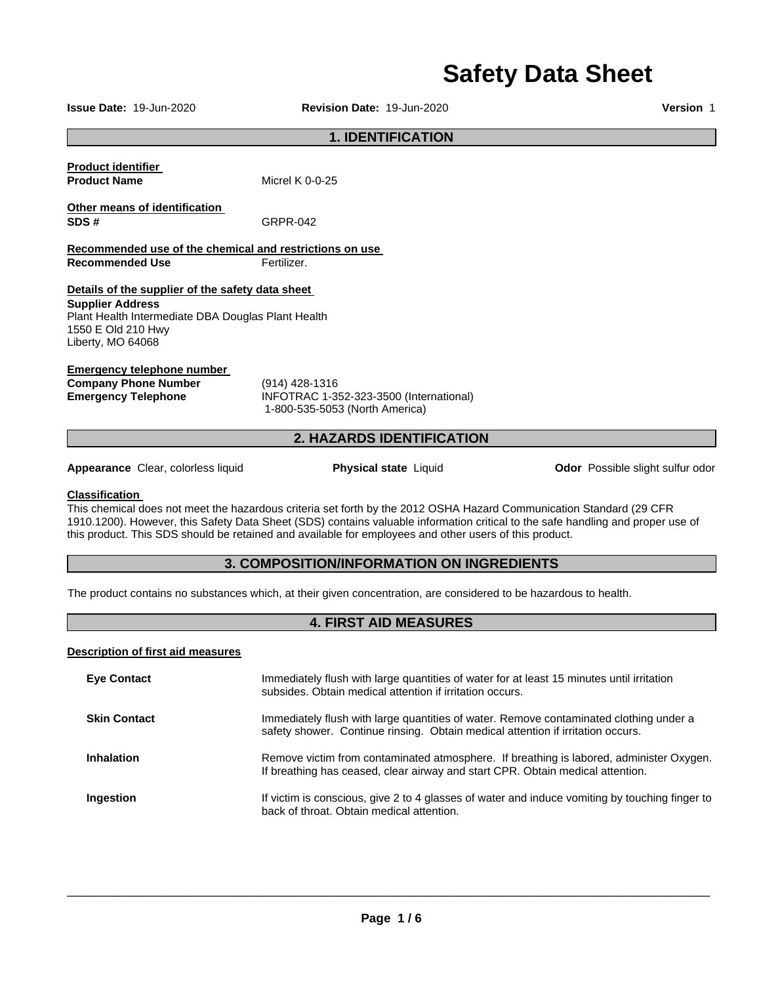# **Safety Data Sheet**

**Issue Date:** 19-Jun-2020 **Revision Date:** 19-Jun-2020 **Version** 1

### **1. IDENTIFICATION**

| <b>Product identifier</b> |                 |
|---------------------------|-----------------|
| <b>Product Name</b>       | Micrel K 0-0-25 |

**Other means of identification SDS #** GRPR-042

**Recommended use of the chemical and restrictions on use Recommended Use <b>Fertilizer.** 

#### **Details of the supplier of the safety data sheet**

**Supplier Address** Plant Health Intermediate DBA Douglas Plant Health 1550 E Old 210 Hwy Liberty, MO 64068

#### **Emergency telephone number**

**Company Phone Number** (914) 428-1316

**Emergency Telephone** INFOTRAC 1-352-323-3500 (International) 1-800-535-5053 (North America)

### **2. HAZARDS IDENTIFICATION**

**Appearance** Clear, colorless liquid **Physical state** Liquid **Odor** Possible slight sulfur odor

#### **Classification**

This chemical does not meet the hazardous criteria set forth by the 2012 OSHA Hazard Communication Standard (29 CFR 1910.1200). However, this Safety Data Sheet (SDS) contains valuable information critical to the safe handling and proper use of this product. This SDS should be retained and available for employees and other users of this product.

### **3. COMPOSITION/INFORMATION ON INGREDIENTS**

The product contains no substances which, at their given concentration, are considered to be hazardous to health.

### **4. FIRST AID MEASURES**

#### **Description of first aid measures**

| <b>Eye Contact</b>  | Immediately flush with large quantities of water for at least 15 minutes until irritation<br>subsides. Obtain medical attention if irritation occurs.                     |
|---------------------|---------------------------------------------------------------------------------------------------------------------------------------------------------------------------|
| <b>Skin Contact</b> | Immediately flush with large quantities of water. Remove contaminated clothing under a<br>safety shower. Continue rinsing. Obtain medical attention if irritation occurs. |
| <b>Inhalation</b>   | Remove victim from contaminated atmosphere. If breathing is labored, administer Oxygen.<br>If breathing has ceased, clear airway and start CPR. Obtain medical attention. |
| Ingestion           | If victim is conscious, give 2 to 4 glasses of water and induce vomiting by touching finger to<br>back of throat. Obtain medical attention.                               |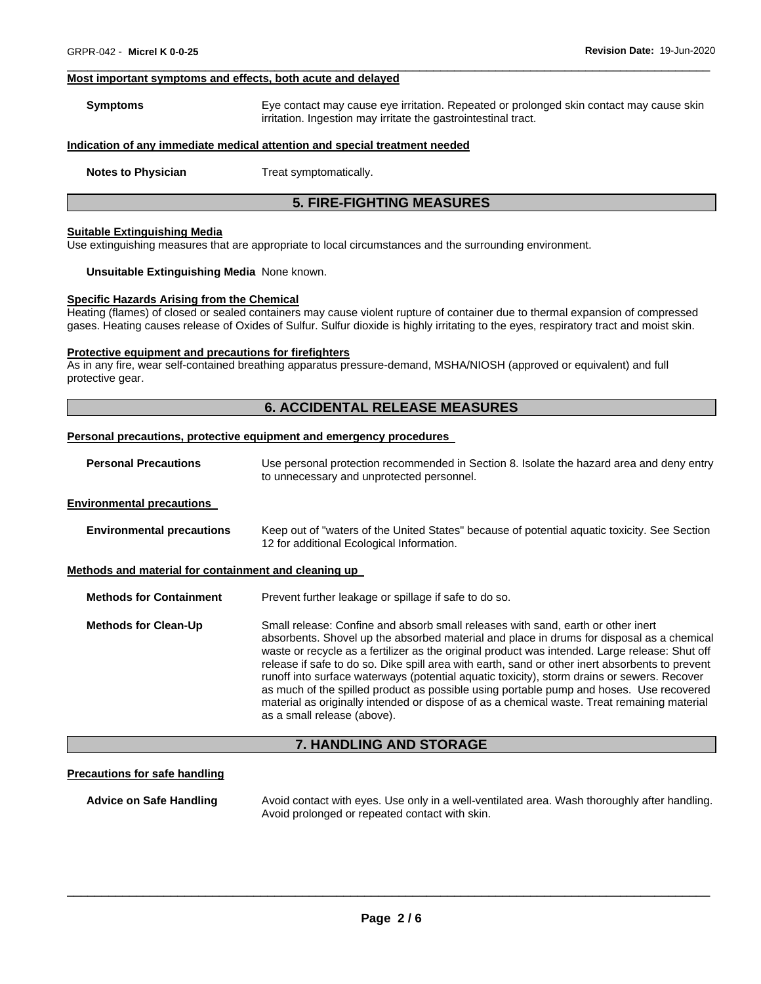#### **Most important symptoms and effects, both acute and delayed**

| Symptoms | Eye contact may cause eye irritation. Repeated or prolonged skin contact may cause skin |
|----------|-----------------------------------------------------------------------------------------|
|          | irritation. Ingestion may irritate the gastrointestinal tract.                          |

\_\_\_\_\_\_\_\_\_\_\_\_\_\_\_\_\_\_\_\_\_\_\_\_\_\_\_\_\_\_\_\_\_\_\_\_\_\_\_\_\_\_\_\_\_\_\_\_\_\_\_\_\_\_\_\_\_\_\_\_\_\_\_\_\_\_\_\_\_\_\_\_\_\_\_\_\_\_\_\_\_\_\_\_\_\_\_\_\_\_\_\_\_

#### **Indication of any immediate medical attention and special treatment needed**

**Notes to Physician**  Treat symptomatically.

#### **5. FIRE-FIGHTING MEASURES**

#### **Suitable Extinguishing Media**

Use extinguishing measures that are appropriate to local circumstances and the surrounding environment.

#### **Unsuitable Extinguishing Media** None known.

#### **Specific Hazards Arising from the Chemical**

Heating (flames) of closed or sealed containers may cause violent rupture of container due to thermal expansion of compressed gases. Heating causes release of Oxides of Sulfur. Sulfur dioxide is highly irritating to the eyes, respiratory tract and moist skin.

#### **Protective equipment and precautions for firefighters**

As in any fire, wear self-contained breathing apparatus pressure-demand, MSHA/NIOSH (approved or equivalent) and full protective gear.

#### **6. ACCIDENTAL RELEASE MEASURES**

### **Personal precautions, protective equipment and emergency procedures**

| <b>Personal Precautions</b>                          | Use personal protection recommended in Section 8. Isolate the hazard area and deny entry<br>to unnecessary and unprotected personnel.                                                                                                                                                                                                                                              |  |  |  |
|------------------------------------------------------|------------------------------------------------------------------------------------------------------------------------------------------------------------------------------------------------------------------------------------------------------------------------------------------------------------------------------------------------------------------------------------|--|--|--|
| <b>Environmental precautions</b>                     |                                                                                                                                                                                                                                                                                                                                                                                    |  |  |  |
| <b>Environmental precautions</b>                     | Keep out of "waters of the United States" because of potential aguatic toxicity. See Section<br>12 for additional Ecological Information.                                                                                                                                                                                                                                          |  |  |  |
| Methods and material for containment and cleaning up |                                                                                                                                                                                                                                                                                                                                                                                    |  |  |  |
| <b>Methods for Containment</b>                       | Prevent further leakage or spillage if safe to do so.                                                                                                                                                                                                                                                                                                                              |  |  |  |
| <b>Methods for Clean-Up</b>                          | Small release: Confine and absorb small releases with sand, earth or other inert<br>absorbents. Shovel up the absorbed material and place in drums for disposal as a chemical<br>waste or recycle as a fertilizer as the original product was intended. Large release: Shut off<br>release if safe to do so. Dike spill area with earth, sand or other inert absorbents to prevent |  |  |  |

runoff into surface waterways (potential aquatic toxicity), storm drains or sewers. Recover as much of the spilled product as possible using portable pump and hoses. Use recovered material as originally intended or dispose of as a chemical waste. Treat remaining material as a small release (above).

#### **7. HANDLING AND STORAGE**

#### **Precautions for safe handling**

**Advice on Safe Handling** Avoid contact with eyes. Use only in a well-ventilated area. Wash thoroughly after handling. Avoid prolonged or repeated contact with skin.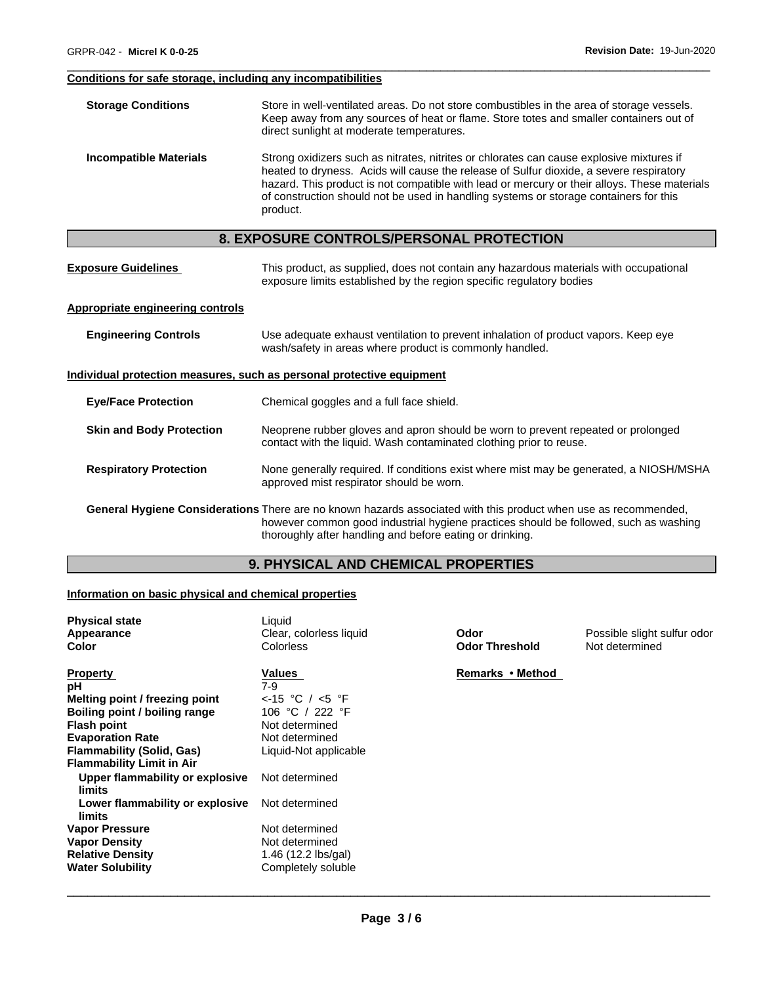### **Conditions for safe storage, including any incompatibilities**

| <b>Storage Conditions</b>               | Store in well-ventilated areas. Do not store combustibles in the area of storage vessels.<br>Keep away from any sources of heat or flame. Store totes and smaller containers out of<br>direct sunlight at moderate temperatures.                                                                                                                                                         |  |  |  |  |  |
|-----------------------------------------|------------------------------------------------------------------------------------------------------------------------------------------------------------------------------------------------------------------------------------------------------------------------------------------------------------------------------------------------------------------------------------------|--|--|--|--|--|
| <b>Incompatible Materials</b>           | Strong oxidizers such as nitrates, nitrites or chlorates can cause explosive mixtures if<br>heated to dryness. Acids will cause the release of Sulfur dioxide, a severe respiratory<br>hazard. This product is not compatible with lead or mercury or their alloys. These materials<br>of construction should not be used in handling systems or storage containers for this<br>product. |  |  |  |  |  |
|                                         | 8. EXPOSURE CONTROLS/PERSONAL PROTECTION                                                                                                                                                                                                                                                                                                                                                 |  |  |  |  |  |
| <b>Exposure Guidelines</b>              | This product, as supplied, does not contain any hazardous materials with occupational<br>exposure limits established by the region specific regulatory bodies                                                                                                                                                                                                                            |  |  |  |  |  |
| <b>Appropriate engineering controls</b> |                                                                                                                                                                                                                                                                                                                                                                                          |  |  |  |  |  |
| <b>Engineering Controls</b>             | Use adequate exhaust ventilation to prevent inhalation of product vapors. Keep eye<br>wash/safety in areas where product is commonly handled.                                                                                                                                                                                                                                            |  |  |  |  |  |
|                                         | <u>Individual protection measures, such as personal protective equipment</u>                                                                                                                                                                                                                                                                                                             |  |  |  |  |  |
| <b>Eye/Face Protection</b>              | Chemical goggles and a full face shield.                                                                                                                                                                                                                                                                                                                                                 |  |  |  |  |  |
| <b>Skin and Body Protection</b>         | Neoprene rubber gloves and apron should be worn to prevent repeated or prolonged<br>contact with the liquid. Wash contaminated clothing prior to reuse.                                                                                                                                                                                                                                  |  |  |  |  |  |
| <b>Respiratory Protection</b>           | None generally required. If conditions exist where mist may be generated, a NIOSH/MSHA<br>approved mist respirator should be worn.                                                                                                                                                                                                                                                       |  |  |  |  |  |
|                                         | General Hygiene Considerations There are no known hazards associated with this product when use as recommended,<br>however common good industrial hygiene practices should be followed, such as washing<br>thoroughly after handling and before eating or drinking.                                                                                                                      |  |  |  |  |  |

\_\_\_\_\_\_\_\_\_\_\_\_\_\_\_\_\_\_\_\_\_\_\_\_\_\_\_\_\_\_\_\_\_\_\_\_\_\_\_\_\_\_\_\_\_\_\_\_\_\_\_\_\_\_\_\_\_\_\_\_\_\_\_\_\_\_\_\_\_\_\_\_\_\_\_\_\_\_\_\_\_\_\_\_\_\_\_\_\_\_\_\_\_

## **9. PHYSICAL AND CHEMICAL PROPERTIES**

### **Information on basic physical and chemical properties**

| <b>Physical state</b><br>Appearance<br><b>Color</b>                                                                                                                                                                                                                                                                           | Liquid<br>Clear, colorless liquid<br>Colorless                                                                                                                                     | Odor<br><b>Odor Threshold</b> | Possible slight sulfur odor<br>Not determined |
|-------------------------------------------------------------------------------------------------------------------------------------------------------------------------------------------------------------------------------------------------------------------------------------------------------------------------------|------------------------------------------------------------------------------------------------------------------------------------------------------------------------------------|-------------------------------|-----------------------------------------------|
| <b>Property</b><br>рH<br>Melting point / freezing point<br>Boiling point / boiling range<br><b>Flash point</b><br><b>Evaporation Rate</b><br>Flammability (Solid, Gas)<br><b>Flammability Limit in Air</b><br>Upper flammability or explosive<br>limits<br>Lower flammability or explosive<br>limits<br><b>Vapor Pressure</b> | Values<br>$7-9$<br>$\lt$ -15 °C / $\lt$ 5 °F<br>106 °C / 222 °F<br>Not determined<br>Not determined<br>Liquid-Not applicable<br>Not determined<br>Not determined<br>Not determined | Remarks • Method              |                                               |
| <b>Vapor Density</b><br><b>Relative Density</b><br><b>Water Solubility</b>                                                                                                                                                                                                                                                    | Not determined<br>1.46 $(12.2 \text{ lbs/gal})$<br>Completely soluble                                                                                                              |                               |                                               |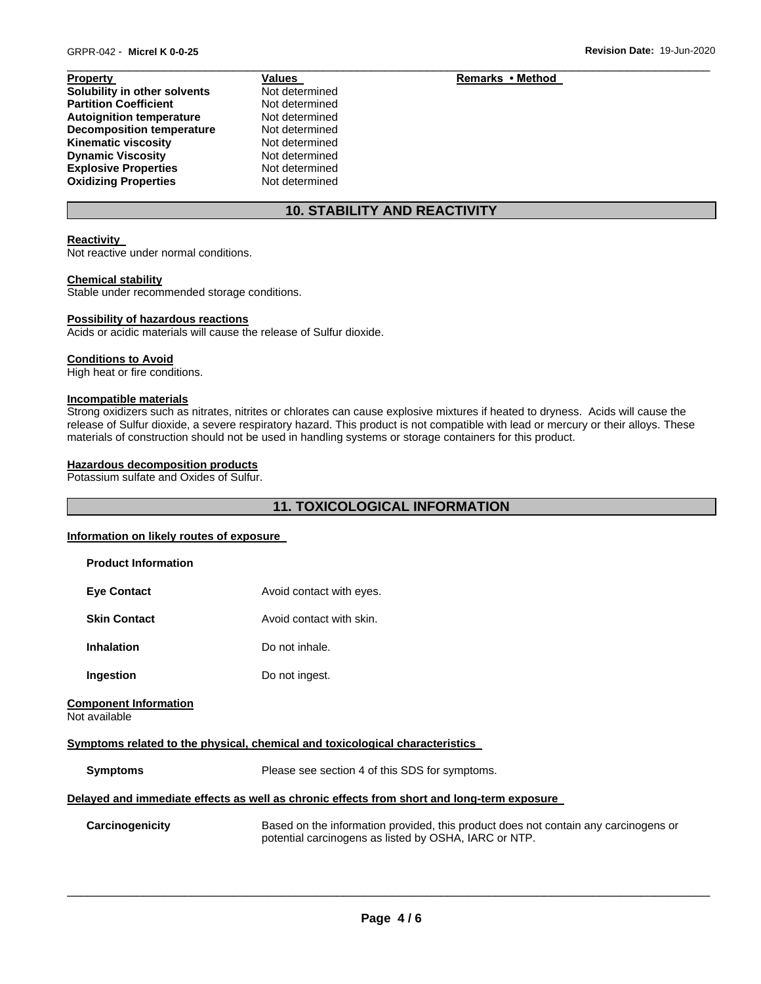| .                                |
|----------------------------------|
| Solubility in other solvents     |
| <b>Partition Coefficient</b>     |
| <b>Autoignition temperature</b>  |
| <b>Decomposition temperature</b> |
| <b>Kinematic viscosity</b>       |
| <b>Dynamic Viscosity</b>         |
| <b>Explosive Properties</b>      |
| <b>Oxidizing Properties</b>      |
|                                  |

**Not determined Not determined Not determined Not determined Not determined Not determined Not determined Not determined** 

#### **Property Values Remarks • Method** *Values* **Remarks • Method**

### **10. STABILITY AND REACTIVITY**

\_\_\_\_\_\_\_\_\_\_\_\_\_\_\_\_\_\_\_\_\_\_\_\_\_\_\_\_\_\_\_\_\_\_\_\_\_\_\_\_\_\_\_\_\_\_\_\_\_\_\_\_\_\_\_\_\_\_\_\_\_\_\_\_\_\_\_\_\_\_\_\_\_\_\_\_\_\_\_\_\_\_\_\_\_\_\_\_\_\_\_\_\_

#### **Reactivity**

Not reactive under normal conditions.

#### **Chemical stability**

Stable under recommended storage conditions.

#### **Possibility of hazardous reactions**

Acids or acidic materials will cause the release of Sulfur dioxide.

#### **Conditions to Avoid**

High heat or fire conditions.

#### **Incompatible materials**

Strong oxidizers such as nitrates, nitrites or chlorates can cause explosive mixtures if heated to dryness. Acids will cause the release of Sulfur dioxide, a severe respiratory hazard. This product is not compatible with lead or mercury or their alloys. These materials of construction should not be used in handling systems or storage containers for this product.

#### **Hazardous decomposition products**

Potassium sulfate and Oxides of Sulfur.

### **11. TOXICOLOGICAL INFORMATION**

#### **Information on likely routes of exposure**

| Avoid contact with eyes.                                                                                                                     |
|----------------------------------------------------------------------------------------------------------------------------------------------|
| Avoid contact with skin.                                                                                                                     |
| Do not inhale.                                                                                                                               |
| Do not ingest.                                                                                                                               |
|                                                                                                                                              |
| Symptoms related to the physical, chemical and toxicological characteristics                                                                 |
| Please see section 4 of this SDS for symptoms.                                                                                               |
| Delayed and immediate effects as well as chronic effects from short and long-term exposure                                                   |
| Based on the information provided, this product does not contain any carcinogens or<br>potential carcinogens as listed by OSHA, IARC or NTP. |
|                                                                                                                                              |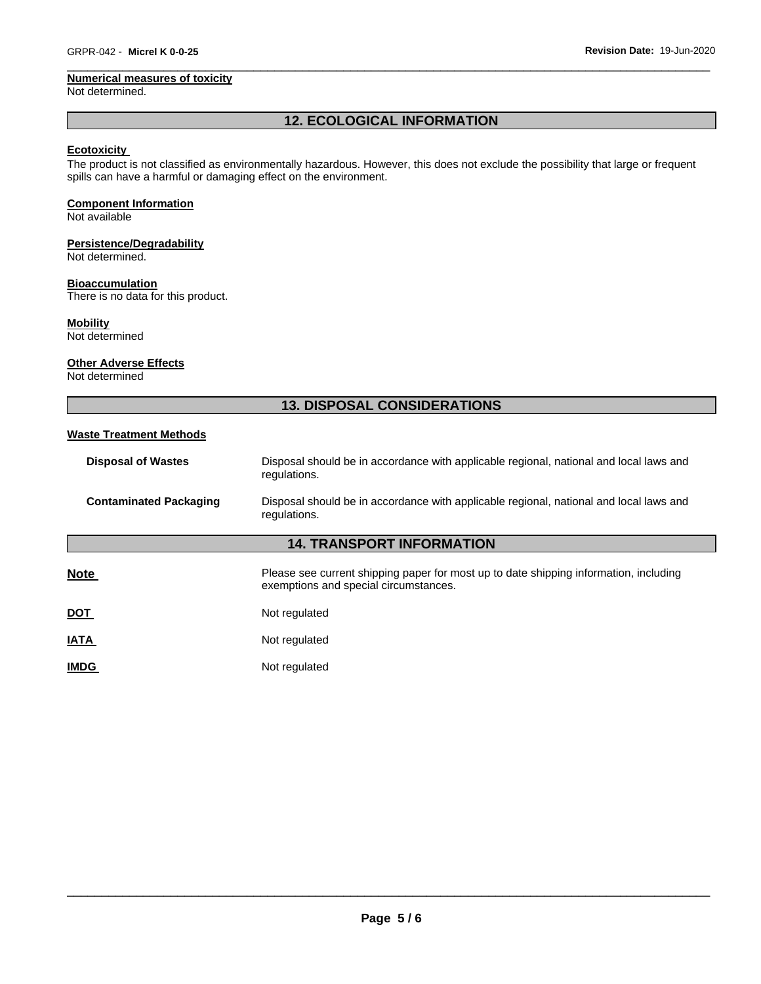#### **Numerical measures of toxicity**

Not determined.

### **12. ECOLOGICAL INFORMATION**

\_\_\_\_\_\_\_\_\_\_\_\_\_\_\_\_\_\_\_\_\_\_\_\_\_\_\_\_\_\_\_\_\_\_\_\_\_\_\_\_\_\_\_\_\_\_\_\_\_\_\_\_\_\_\_\_\_\_\_\_\_\_\_\_\_\_\_\_\_\_\_\_\_\_\_\_\_\_\_\_\_\_\_\_\_\_\_\_\_\_\_\_\_

### **Ecotoxicity**

The product is not classified as environmentally hazardous. However, this does not exclude the possibility that large or frequent spills can have a harmful or damaging effect on the environment.

#### **Component Information**

Not available

### **Persistence/Degradability**

Not determined.

### **Bioaccumulation**

There is no data for this product.

#### **Mobility**

Not determined

#### **Other Adverse Effects**

Not determined

### **13. DISPOSAL CONSIDERATIONS**

#### **Waste Treatment Methods**

| <b>Disposal of Wastes</b>        | Disposal should be in accordance with applicable regional, national and local laws and<br>regulations.                         |  |  |  |  |  |
|----------------------------------|--------------------------------------------------------------------------------------------------------------------------------|--|--|--|--|--|
| <b>Contaminated Packaging</b>    | Disposal should be in accordance with applicable regional, national and local laws and<br>regulations.                         |  |  |  |  |  |
| <b>14. TRANSPORT INFORMATION</b> |                                                                                                                                |  |  |  |  |  |
| <b>Note</b>                      | Please see current shipping paper for most up to date shipping information, including<br>exemptions and special circumstances. |  |  |  |  |  |
| <u>DOT</u>                       | Not regulated                                                                                                                  |  |  |  |  |  |
| <b>IATA</b>                      | Not regulated                                                                                                                  |  |  |  |  |  |
| <b>IMDG</b>                      | Not regulated                                                                                                                  |  |  |  |  |  |